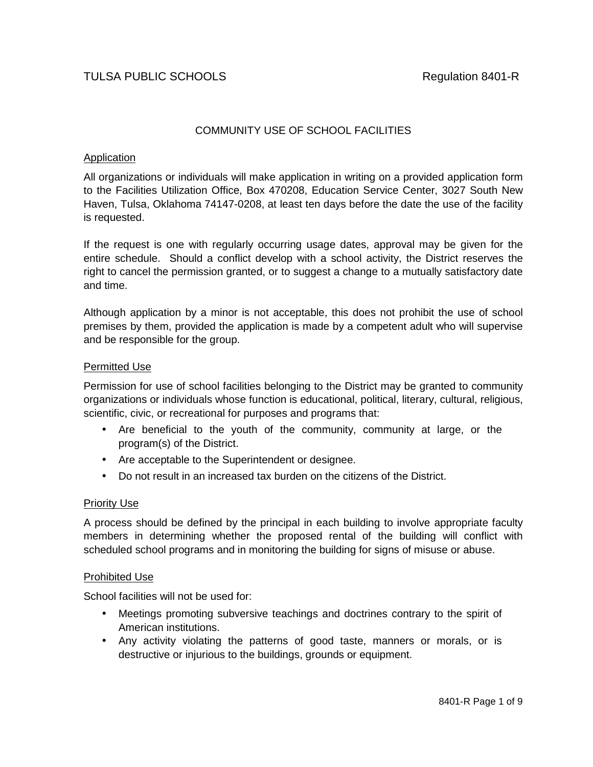# COMMUNITY USE OF SCHOOL FACILITIES

### Application

All organizations or individuals will make application in writing on a provided application form to the Facilities Utilization Office, Box 470208, Education Service Center, 3027 South New Haven, Tulsa, Oklahoma 74147-0208, at least ten days before the date the use of the facility is requested.

If the request is one with regularly occurring usage dates, approval may be given for the entire schedule. Should a conflict develop with a school activity, the District reserves the right to cancel the permission granted, or to suggest a change to a mutually satisfactory date and time.

Although application by a minor is not acceptable, this does not prohibit the use of school premises by them, provided the application is made by a competent adult who will supervise and be responsible for the group.

### Permitted Use

Permission for use of school facilities belonging to the District may be granted to community organizations or individuals whose function is educational, political, literary, cultural, religious, scientific, civic, or recreational for purposes and programs that:

- Are beneficial to the youth of the community, community at large, or the program(s) of the District.
- Are acceptable to the Superintendent or designee.
- Do not result in an increased tax burden on the citizens of the District.

#### Priority Use

A process should be defined by the principal in each building to involve appropriate faculty members in determining whether the proposed rental of the building will conflict with scheduled school programs and in monitoring the building for signs of misuse or abuse.

#### Prohibited Use

School facilities will not be used for:

- Meetings promoting subversive teachings and doctrines contrary to the spirit of American institutions.
- Any activity violating the patterns of good taste, manners or morals, or is destructive or injurious to the buildings, grounds or equipment.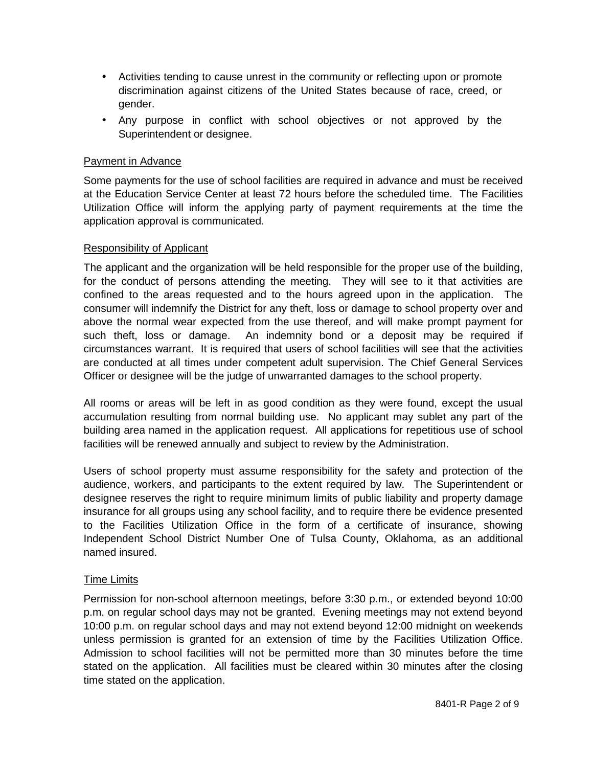- Activities tending to cause unrest in the community or reflecting upon or promote discrimination against citizens of the United States because of race, creed, or gender.
- Any purpose in conflict with school objectives or not approved by the Superintendent or designee.

### Payment in Advance

Some payments for the use of school facilities are required in advance and must be received at the Education Service Center at least 72 hours before the scheduled time. The Facilities Utilization Office will inform the applying party of payment requirements at the time the application approval is communicated.

#### Responsibility of Applicant

The applicant and the organization will be held responsible for the proper use of the building, for the conduct of persons attending the meeting. They will see to it that activities are confined to the areas requested and to the hours agreed upon in the application. The consumer will indemnify the District for any theft, loss or damage to school property over and above the normal wear expected from the use thereof, and will make prompt payment for such theft, loss or damage. An indemnity bond or a deposit may be required if circumstances warrant. It is required that users of school facilities will see that the activities are conducted at all times under competent adult supervision. The Chief General Services Officer or designee will be the judge of unwarranted damages to the school property.

All rooms or areas will be left in as good condition as they were found, except the usual accumulation resulting from normal building use. No applicant may sublet any part of the building area named in the application request. All applications for repetitious use of school facilities will be renewed annually and subject to review by the Administration.

Users of school property must assume responsibility for the safety and protection of the audience, workers, and participants to the extent required by law. The Superintendent or designee reserves the right to require minimum limits of public liability and property damage insurance for all groups using any school facility, and to require there be evidence presented to the Facilities Utilization Office in the form of a certificate of insurance, showing Independent School District Number One of Tulsa County, Oklahoma, as an additional named insured.

#### Time Limits

Permission for non-school afternoon meetings, before 3:30 p.m., or extended beyond 10:00 p.m. on regular school days may not be granted. Evening meetings may not extend beyond 10:00 p.m. on regular school days and may not extend beyond 12:00 midnight on weekends unless permission is granted for an extension of time by the Facilities Utilization Office. Admission to school facilities will not be permitted more than 30 minutes before the time stated on the application. All facilities must be cleared within 30 minutes after the closing time stated on the application.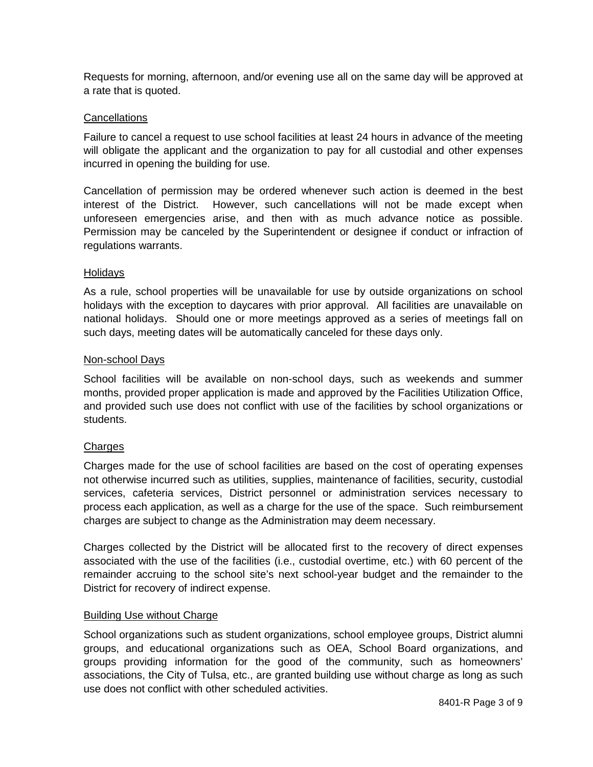Requests for morning, afternoon, and/or evening use all on the same day will be approved at a rate that is quoted.

### **Cancellations**

Failure to cancel a request to use school facilities at least 24 hours in advance of the meeting will obligate the applicant and the organization to pay for all custodial and other expenses incurred in opening the building for use.

Cancellation of permission may be ordered whenever such action is deemed in the best interest of the District. However, such cancellations will not be made except when unforeseen emergencies arise, and then with as much advance notice as possible. Permission may be canceled by the Superintendent or designee if conduct or infraction of regulations warrants.

### Holidays

As a rule, school properties will be unavailable for use by outside organizations on school holidays with the exception to daycares with prior approval. All facilities are unavailable on national holidays. Should one or more meetings approved as a series of meetings fall on such days, meeting dates will be automatically canceled for these days only.

### Non-school Days

School facilities will be available on non-school days, such as weekends and summer months, provided proper application is made and approved by the Facilities Utilization Office, and provided such use does not conflict with use of the facilities by school organizations or students.

## **Charges**

Charges made for the use of school facilities are based on the cost of operating expenses not otherwise incurred such as utilities, supplies, maintenance of facilities, security, custodial services, cafeteria services, District personnel or administration services necessary to process each application, as well as a charge for the use of the space. Such reimbursement charges are subject to change as the Administration may deem necessary.

Charges collected by the District will be allocated first to the recovery of direct expenses associated with the use of the facilities (i.e., custodial overtime, etc.) with 60 percent of the remainder accruing to the school site's next school-year budget and the remainder to the District for recovery of indirect expense.

## Building Use without Charge

School organizations such as student organizations, school employee groups, District alumni groups, and educational organizations such as OEA, School Board organizations, and groups providing information for the good of the community, such as homeowners' associations, the City of Tulsa, etc., are granted building use without charge as long as such use does not conflict with other scheduled activities.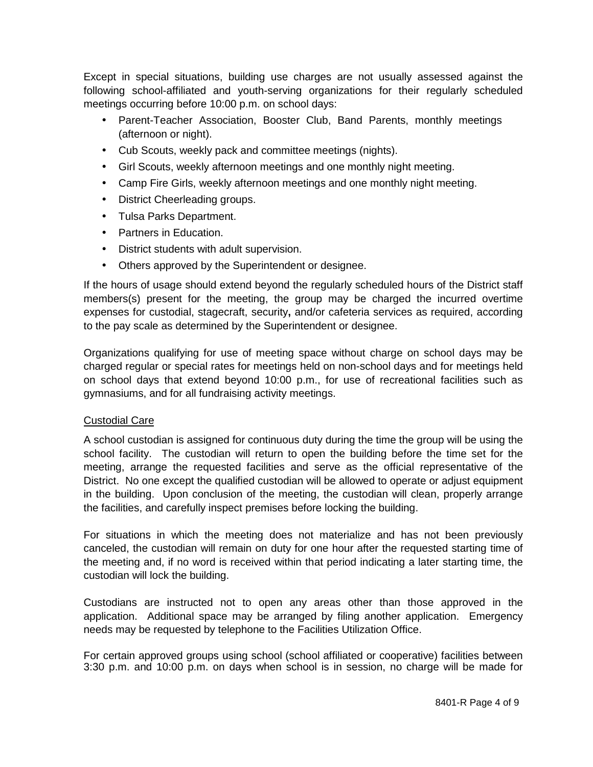Except in special situations, building use charges are not usually assessed against the following school-affiliated and youth-serving organizations for their regularly scheduled meetings occurring before 10:00 p.m. on school days:

- Parent-Teacher Association, Booster Club, Band Parents, monthly meetings (afternoon or night).
- Cub Scouts, weekly pack and committee meetings (nights).
- Girl Scouts, weekly afternoon meetings and one monthly night meeting.
- Camp Fire Girls, weekly afternoon meetings and one monthly night meeting.
- District Cheerleading groups.
- Tulsa Parks Department.
- Partners in Education.
- District students with adult supervision.
- Others approved by the Superintendent or designee.

If the hours of usage should extend beyond the regularly scheduled hours of the District staff members(s) present for the meeting, the group may be charged the incurred overtime expenses for custodial, stagecraft, security**,** and/or cafeteria services as required, according to the pay scale as determined by the Superintendent or designee.

Organizations qualifying for use of meeting space without charge on school days may be charged regular or special rates for meetings held on non-school days and for meetings held on school days that extend beyond 10:00 p.m., for use of recreational facilities such as gymnasiums, and for all fundraising activity meetings.

## Custodial Care

A school custodian is assigned for continuous duty during the time the group will be using the school facility. The custodian will return to open the building before the time set for the meeting, arrange the requested facilities and serve as the official representative of the District. No one except the qualified custodian will be allowed to operate or adjust equipment in the building. Upon conclusion of the meeting, the custodian will clean, properly arrange the facilities, and carefully inspect premises before locking the building.

For situations in which the meeting does not materialize and has not been previously canceled, the custodian will remain on duty for one hour after the requested starting time of the meeting and, if no word is received within that period indicating a later starting time, the custodian will lock the building.

Custodians are instructed not to open any areas other than those approved in the application. Additional space may be arranged by filing another application. Emergency needs may be requested by telephone to the Facilities Utilization Office.

For certain approved groups using school (school affiliated or cooperative) facilities between 3:30 p.m. and 10:00 p.m. on days when school is in session, no charge will be made for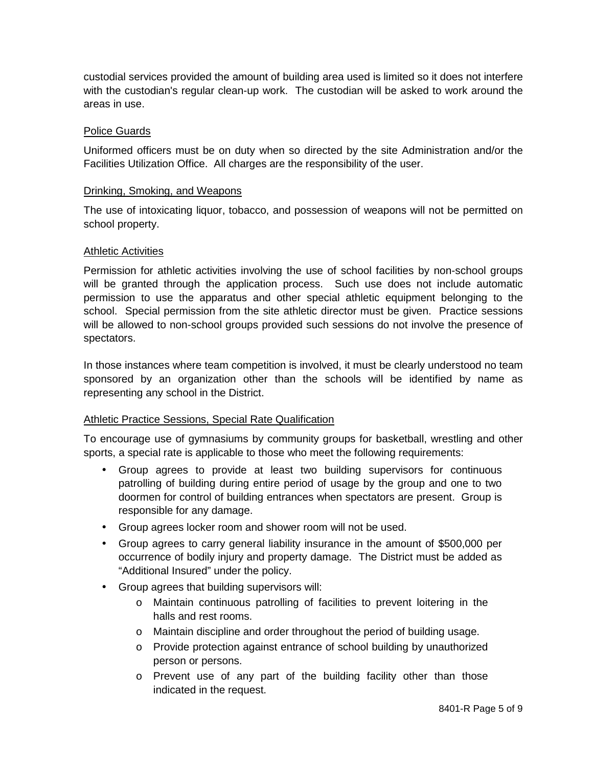custodial services provided the amount of building area used is limited so it does not interfere with the custodian's regular clean-up work. The custodian will be asked to work around the areas in use.

### Police Guards

Uniformed officers must be on duty when so directed by the site Administration and/or the Facilities Utilization Office. All charges are the responsibility of the user.

#### Drinking, Smoking, and Weapons

The use of intoxicating liquor, tobacco, and possession of weapons will not be permitted on school property.

### Athletic Activities

Permission for athletic activities involving the use of school facilities by non-school groups will be granted through the application process. Such use does not include automatic permission to use the apparatus and other special athletic equipment belonging to the school. Special permission from the site athletic director must be given. Practice sessions will be allowed to non-school groups provided such sessions do not involve the presence of spectators.

In those instances where team competition is involved, it must be clearly understood no team sponsored by an organization other than the schools will be identified by name as representing any school in the District.

## Athletic Practice Sessions, Special Rate Qualification

To encourage use of gymnasiums by community groups for basketball, wrestling and other sports, a special rate is applicable to those who meet the following requirements:

- Group agrees to provide at least two building supervisors for continuous patrolling of building during entire period of usage by the group and one to two doormen for control of building entrances when spectators are present. Group is responsible for any damage.
- Group agrees locker room and shower room will not be used.
- Group agrees to carry general liability insurance in the amount of \$500,000 per occurrence of bodily injury and property damage. The District must be added as "Additional Insured" under the policy.
- Group agrees that building supervisors will:
	- o Maintain continuous patrolling of facilities to prevent loitering in the halls and rest rooms.
	- o Maintain discipline and order throughout the period of building usage.
	- o Provide protection against entrance of school building by unauthorized person or persons.
	- o Prevent use of any part of the building facility other than those indicated in the request.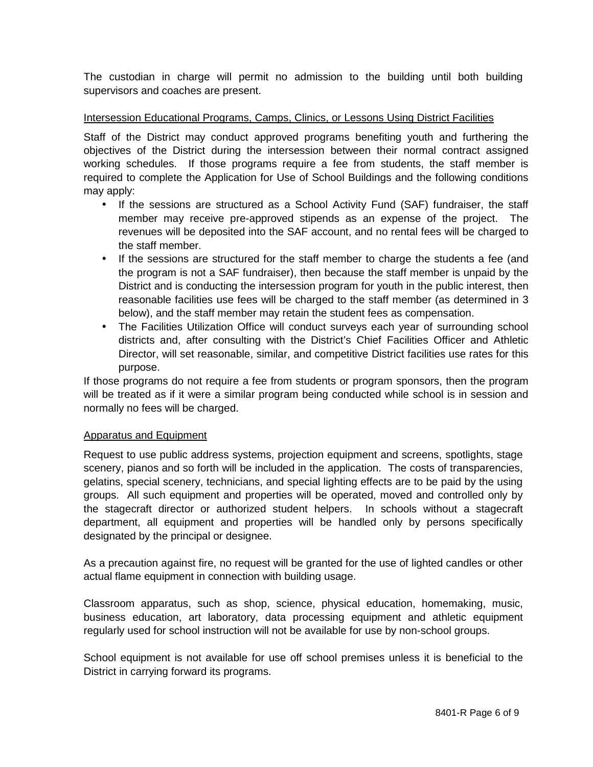The custodian in charge will permit no admission to the building until both building supervisors and coaches are present.

### Intersession Educational Programs, Camps, Clinics, or Lessons Using District Facilities

Staff of the District may conduct approved programs benefiting youth and furthering the objectives of the District during the intersession between their normal contract assigned working schedules. If those programs require a fee from students, the staff member is required to complete the Application for Use of School Buildings and the following conditions may apply:

- If the sessions are structured as a School Activity Fund (SAF) fundraiser, the staff member may receive pre-approved stipends as an expense of the project. The revenues will be deposited into the SAF account, and no rental fees will be charged to the staff member.
- If the sessions are structured for the staff member to charge the students a fee (and the program is not a SAF fundraiser), then because the staff member is unpaid by the District and is conducting the intersession program for youth in the public interest, then reasonable facilities use fees will be charged to the staff member (as determined in 3 below), and the staff member may retain the student fees as compensation.
- The Facilities Utilization Office will conduct surveys each year of surrounding school districts and, after consulting with the District's Chief Facilities Officer and Athletic Director, will set reasonable, similar, and competitive District facilities use rates for this purpose.

If those programs do not require a fee from students or program sponsors, then the program will be treated as if it were a similar program being conducted while school is in session and normally no fees will be charged.

#### Apparatus and Equipment

Request to use public address systems, projection equipment and screens, spotlights, stage scenery, pianos and so forth will be included in the application. The costs of transparencies, gelatins, special scenery, technicians, and special lighting effects are to be paid by the using groups. All such equipment and properties will be operated, moved and controlled only by the stagecraft director or authorized student helpers. In schools without a stagecraft department, all equipment and properties will be handled only by persons specifically designated by the principal or designee.

As a precaution against fire, no request will be granted for the use of lighted candles or other actual flame equipment in connection with building usage.

Classroom apparatus, such as shop, science, physical education, homemaking, music, business education, art laboratory, data processing equipment and athletic equipment regularly used for school instruction will not be available for use by non-school groups.

School equipment is not available for use off school premises unless it is beneficial to the District in carrying forward its programs.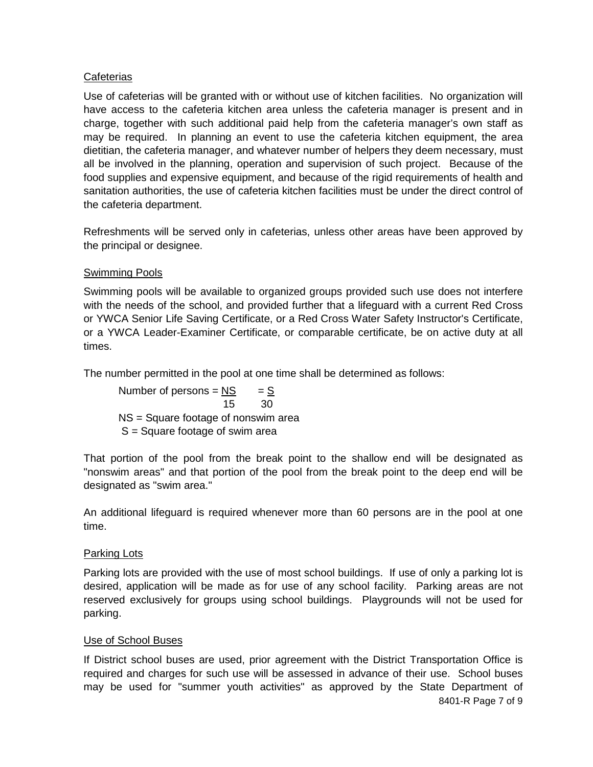# **Cafeterias**

Use of cafeterias will be granted with or without use of kitchen facilities. No organization will have access to the cafeteria kitchen area unless the cafeteria manager is present and in charge, together with such additional paid help from the cafeteria manager's own staff as may be required. In planning an event to use the cafeteria kitchen equipment, the area dietitian, the cafeteria manager, and whatever number of helpers they deem necessary, must all be involved in the planning, operation and supervision of such project. Because of the food supplies and expensive equipment, and because of the rigid requirements of health and sanitation authorities, the use of cafeteria kitchen facilities must be under the direct control of the cafeteria department.

Refreshments will be served only in cafeterias, unless other areas have been approved by the principal or designee.

# Swimming Pools

Swimming pools will be available to organized groups provided such use does not interfere with the needs of the school, and provided further that a lifeguard with a current Red Cross or YWCA Senior Life Saving Certificate, or a Red Cross Water Safety Instructor's Certificate, or a YWCA Leader-Examiner Certificate, or comparable certificate, be on active duty at all times.

The number permitted in the pool at one time shall be determined as follows:

Number of persons  $=$  NS  $=$  S  $15$  30 NS = Square footage of nonswim area S = Square footage of swim area

That portion of the pool from the break point to the shallow end will be designated as "nonswim areas" and that portion of the pool from the break point to the deep end will be designated as "swim area."

An additional lifeguard is required whenever more than 60 persons are in the pool at one time.

## Parking Lots

Parking lots are provided with the use of most school buildings. If use of only a parking lot is desired, application will be made as for use of any school facility. Parking areas are not reserved exclusively for groups using school buildings. Playgrounds will not be used for parking.

## Use of School Buses

If District school buses are used, prior agreement with the District Transportation Office is required and charges for such use will be assessed in advance of their use. School buses may be used for "summer youth activities" as approved by the State Department of 8401-R Page 7 of 9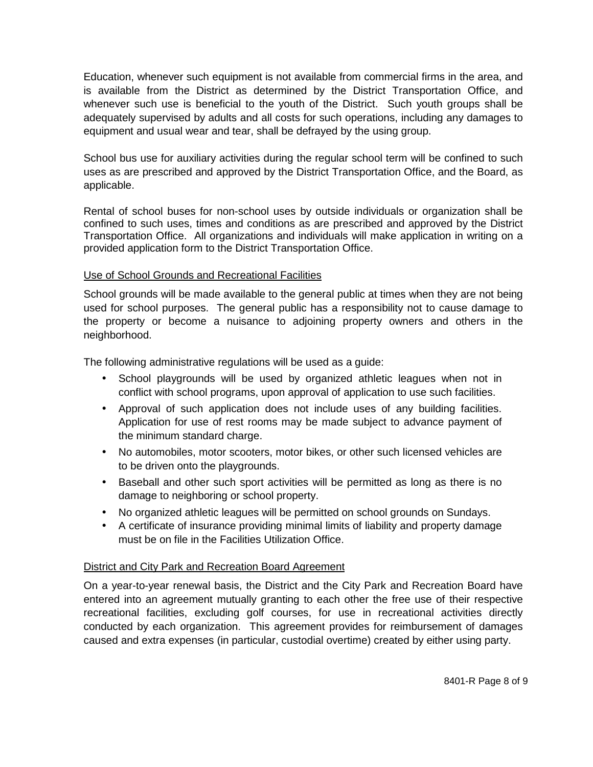Education, whenever such equipment is not available from commercial firms in the area, and is available from the District as determined by the District Transportation Office, and whenever such use is beneficial to the youth of the District. Such youth groups shall be adequately supervised by adults and all costs for such operations, including any damages to equipment and usual wear and tear, shall be defrayed by the using group.

School bus use for auxiliary activities during the regular school term will be confined to such uses as are prescribed and approved by the District Transportation Office, and the Board, as applicable.

Rental of school buses for non-school uses by outside individuals or organization shall be confined to such uses, times and conditions as are prescribed and approved by the District Transportation Office. All organizations and individuals will make application in writing on a provided application form to the District Transportation Office.

# Use of School Grounds and Recreational Facilities

School grounds will be made available to the general public at times when they are not being used for school purposes. The general public has a responsibility not to cause damage to the property or become a nuisance to adjoining property owners and others in the neighborhood.

The following administrative regulations will be used as a guide:

- School playgrounds will be used by organized athletic leagues when not in conflict with school programs, upon approval of application to use such facilities.
- Approval of such application does not include uses of any building facilities. Application for use of rest rooms may be made subject to advance payment of the minimum standard charge.
- No automobiles, motor scooters, motor bikes, or other such licensed vehicles are to be driven onto the playgrounds.
- Baseball and other such sport activities will be permitted as long as there is no damage to neighboring or school property.
- No organized athletic leagues will be permitted on school grounds on Sundays.
- A certificate of insurance providing minimal limits of liability and property damage must be on file in the Facilities Utilization Office.

## District and City Park and Recreation Board Agreement

On a year-to-year renewal basis, the District and the City Park and Recreation Board have entered into an agreement mutually granting to each other the free use of their respective recreational facilities, excluding golf courses, for use in recreational activities directly conducted by each organization. This agreement provides for reimbursement of damages caused and extra expenses (in particular, custodial overtime) created by either using party.